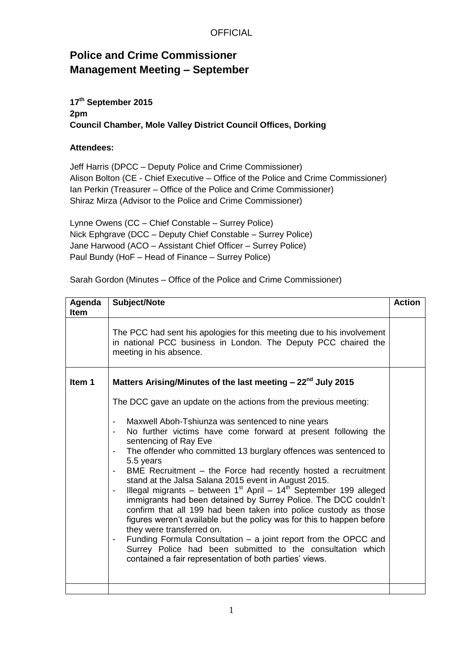## **Police and Crime Commissioner Management Meeting – September**

## **17th September 2015 2pm Council Chamber, Mole Valley District Council Offices, Dorking**

## **Attendees:**

Jeff Harris (DPCC – Deputy Police and Crime Commissioner) Alison Bolton (CE - Chief Executive – Office of the Police and Crime Commissioner) Ian Perkin (Treasurer – Office of the Police and Crime Commissioner) Shiraz Mirza (Advisor to the Police and Crime Commissioner)

Lynne Owens (CC – Chief Constable – Surrey Police) Nick Ephgrave (DCC – Deputy Chief Constable – Surrey Police) Jane Harwood (ACO – Assistant Chief Officer – Surrey Police) Paul Bundy (HoF – Head of Finance – Surrey Police)

Sarah Gordon (Minutes – Office of the Police and Crime Commissioner)

| Agenda<br><b>Item</b> | Subject/Note                                                                                                                                                                                                                                                                                                                                                                                                                                                                                                                                                                                                                                                                                                                                                                                                                                                                                                                                                                                                                                                                               | <b>Action</b> |
|-----------------------|--------------------------------------------------------------------------------------------------------------------------------------------------------------------------------------------------------------------------------------------------------------------------------------------------------------------------------------------------------------------------------------------------------------------------------------------------------------------------------------------------------------------------------------------------------------------------------------------------------------------------------------------------------------------------------------------------------------------------------------------------------------------------------------------------------------------------------------------------------------------------------------------------------------------------------------------------------------------------------------------------------------------------------------------------------------------------------------------|---------------|
|                       | The PCC had sent his apologies for this meeting due to his involvement<br>in national PCC business in London. The Deputy PCC chaired the<br>meeting in his absence.                                                                                                                                                                                                                                                                                                                                                                                                                                                                                                                                                                                                                                                                                                                                                                                                                                                                                                                        |               |
| Item 1                | Matters Arising/Minutes of the last meeting $-22nd$ July 2015                                                                                                                                                                                                                                                                                                                                                                                                                                                                                                                                                                                                                                                                                                                                                                                                                                                                                                                                                                                                                              |               |
|                       | The DCC gave an update on the actions from the previous meeting:<br>Maxwell Aboh-Tshiunza was sentenced to nine years<br>No further victims have come forward at present following the<br>$\overline{\phantom{a}}$<br>sentencing of Ray Eve<br>The offender who committed 13 burglary offences was sentenced to<br>$\overline{\phantom{a}}$<br>5.5 years<br>BME Recruitment – the Force had recently hosted a recruitment<br>$\overline{\phantom{a}}$<br>stand at the Jalsa Salana 2015 event in August 2015.<br>Illegal migrants – between $1st$ April – $14th$ September 199 alleged<br>$\overline{\phantom{a}}$<br>immigrants had been detained by Surrey Police. The DCC couldn't<br>confirm that all 199 had been taken into police custody as those<br>figures weren't available but the policy was for this to happen before<br>they were transferred on.<br>Funding Formula Consultation $-$ a joint report from the OPCC and<br>$\overline{\phantom{a}}$<br>Surrey Police had been submitted to the consultation which<br>contained a fair representation of both parties' views. |               |
|                       |                                                                                                                                                                                                                                                                                                                                                                                                                                                                                                                                                                                                                                                                                                                                                                                                                                                                                                                                                                                                                                                                                            |               |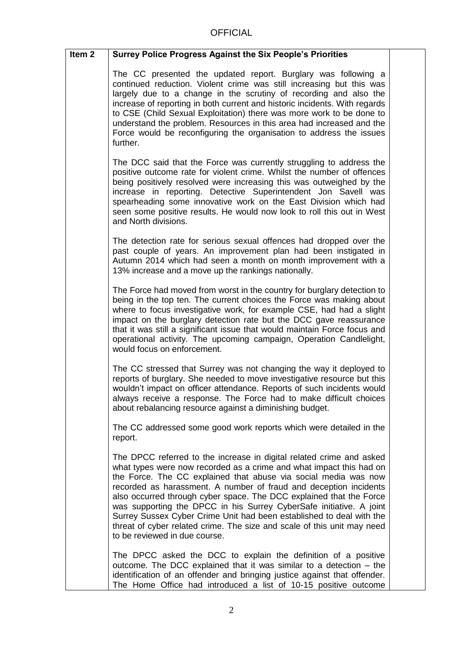| Item <sub>2</sub> | <b>Surrey Police Progress Against the Six People's Priorities</b>                                                                                                                                                                                                                                                                                                                                                                                                                                                                                                                                                     |  |
|-------------------|-----------------------------------------------------------------------------------------------------------------------------------------------------------------------------------------------------------------------------------------------------------------------------------------------------------------------------------------------------------------------------------------------------------------------------------------------------------------------------------------------------------------------------------------------------------------------------------------------------------------------|--|
|                   | The CC presented the updated report. Burglary was following a<br>continued reduction. Violent crime was still increasing but this was<br>largely due to a change in the scrutiny of recording and also the<br>increase of reporting in both current and historic incidents. With regards<br>to CSE (Child Sexual Exploitation) there was more work to be done to<br>understand the problem. Resources in this area had increased and the<br>Force would be reconfiguring the organisation to address the issues<br>further.                                                                                           |  |
|                   | The DCC said that the Force was currently struggling to address the<br>positive outcome rate for violent crime. Whilst the number of offences<br>being positively resolved were increasing this was outweighed by the<br>increase in reporting. Detective Superintendent Jon Savell was<br>spearheading some innovative work on the East Division which had<br>seen some positive results. He would now look to roll this out in West<br>and North divisions.                                                                                                                                                         |  |
|                   | The detection rate for serious sexual offences had dropped over the<br>past couple of years. An improvement plan had been instigated in<br>Autumn 2014 which had seen a month on month improvement with a<br>13% increase and a move up the rankings nationally.                                                                                                                                                                                                                                                                                                                                                      |  |
|                   | The Force had moved from worst in the country for burglary detection to<br>being in the top ten. The current choices the Force was making about<br>where to focus investigative work, for example CSE, had had a slight<br>impact on the burglary detection rate but the DCC gave reassurance<br>that it was still a significant issue that would maintain Force focus and<br>operational activity. The upcoming campaign, Operation Candlelight,<br>would focus on enforcement.                                                                                                                                      |  |
|                   | The CC stressed that Surrey was not changing the way it deployed to<br>reports of burglary. She needed to move investigative resource but this<br>wouldn't impact on officer attendance. Reports of such incidents would<br>always receive a response. The Force had to make difficult choices<br>about rebalancing resource against a diminishing budget.                                                                                                                                                                                                                                                            |  |
|                   | The CC addressed some good work reports which were detailed in the<br>report.                                                                                                                                                                                                                                                                                                                                                                                                                                                                                                                                         |  |
|                   | The DPCC referred to the increase in digital related crime and asked<br>what types were now recorded as a crime and what impact this had on<br>the Force. The CC explained that abuse via social media was now<br>recorded as harassment. A number of fraud and deception incidents<br>also occurred through cyber space. The DCC explained that the Force<br>was supporting the DPCC in his Surrey CyberSafe initiative. A joint<br>Surrey Sussex Cyber Crime Unit had been established to deal with the<br>threat of cyber related crime. The size and scale of this unit may need<br>to be reviewed in due course. |  |
|                   | The DPCC asked the DCC to explain the definition of a positive<br>outcome. The DCC explained that it was similar to a detection - the<br>identification of an offender and bringing justice against that offender.<br>The Home Office had introduced a list of 10-15 positive outcome                                                                                                                                                                                                                                                                                                                                 |  |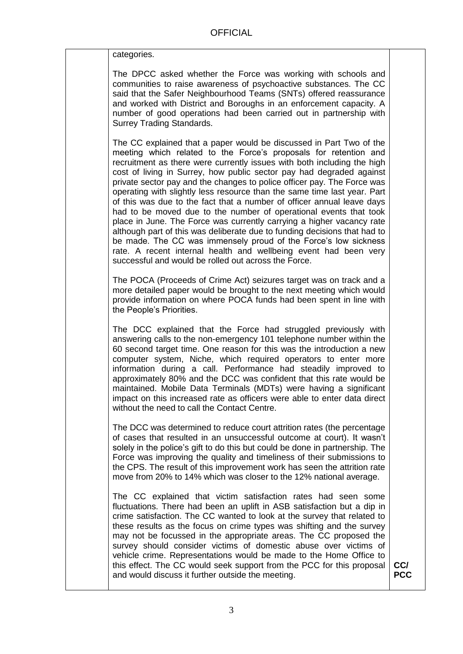categories. The DPCC asked whether the Force was working with schools and communities to raise awareness of psychoactive substances. The CC said that the Safer Neighbourhood Teams (SNTs) offered reassurance and worked with District and Boroughs in an enforcement capacity. A number of good operations had been carried out in partnership with Surrey Trading Standards. The CC explained that a paper would be discussed in Part Two of the meeting which related to the Force's proposals for retention and recruitment as there were currently issues with both including the high cost of living in Surrey, how public sector pay had degraded against private sector pay and the changes to police officer pay. The Force was operating with slightly less resource than the same time last year. Part of this was due to the fact that a number of officer annual leave days had to be moved due to the number of operational events that took place in June. The Force was currently carrying a higher vacancy rate although part of this was deliberate due to funding decisions that had to be made. The CC was immensely proud of the Force's low sickness rate. A recent internal health and wellbeing event had been very successful and would be rolled out across the Force. The POCA (Proceeds of Crime Act) seizures target was on track and a more detailed paper would be brought to the next meeting which would provide information on where POCA funds had been spent in line with the People's Priorities. The DCC explained that the Force had struggled previously with answering calls to the non-emergency 101 telephone number within the 60 second target time. One reason for this was the introduction a new computer system, Niche, which required operators to enter more information during a call. Performance had steadily improved to approximately 80% and the DCC was confident that this rate would be maintained. Mobile Data Terminals (MDTs) were having a significant impact on this increased rate as officers were able to enter data direct without the need to call the Contact Centre. The DCC was determined to reduce court attrition rates (the percentage of cases that resulted in an unsuccessful outcome at court). It wasn't solely in the police's gift to do this but could be done in partnership. The Force was improving the quality and timeliness of their submissions to the CPS. The result of this improvement work has seen the attrition rate move from 20% to 14% which was closer to the 12% national average. The CC explained that victim satisfaction rates had seen some fluctuations. There had been an uplift in ASB satisfaction but a dip in crime satisfaction. The CC wanted to look at the survey that related to these results as the focus on crime types was shifting and the survey may not be focussed in the appropriate areas. The CC proposed the survey should consider victims of domestic abuse over victims of vehicle crime. Representations would be made to the Home Office to this effect. The CC would seek support from the PCC for this proposal and would discuss it further outside the meeting. **CC/ PCC**